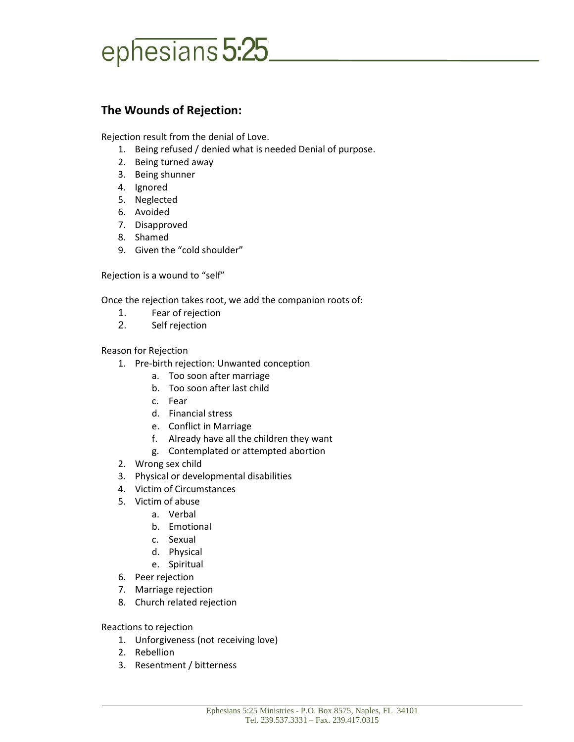## ephesians 5:25

## **The Wounds of Rejection:**

Rejection result from the denial of Love.

- 1. Being refused / denied what is needed Denial of purpose.
- 2. Being turned away
- 3. Being shunner
- 4. Ignored
- 5. Neglected
- 6. Avoided
- 7. Disapproved
- 8. Shamed
- 9. Given the "cold shoulder"

Rejection is a wound to "self"

Once the rejection takes root, we add the companion roots of:

- 1. Fear of rejection
- 2. Self rejection

Reason for Rejection

- 1. Pre-birth rejection: Unwanted conception
	- a. Too soon after marriage
	- b. Too soon after last child
	- c. Fear
	- d. Financial stress
	- e. Conflict in Marriage
	- f. Already have all the children they want
	- g. Contemplated or attempted abortion
- 2. Wrong sex child
- 3. Physical or developmental disabilities
- 4. Victim of Circumstances
- 5. Victim of abuse
	- a. Verbal
	- b. Emotional
	- c. Sexual
	- d. Physical
	- e. Spiritual
- 6. Peer rejection
- 7. Marriage rejection
- 8. Church related rejection

Reactions to rejection

- 1. Unforgiveness (not receiving love)
- 2. Rebellion
- 3. Resentment / bitterness